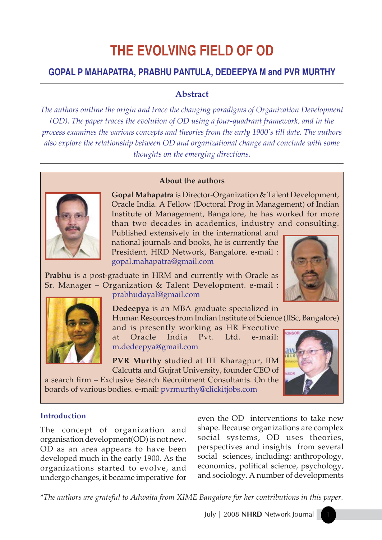# **THE EVOLVING FIELD OF OD**

## **GOPAL P MAHAPATRA, PRABHU PANTULA, DEDEEPYA M and PVR MURTHY**

## **Abstract**

*The authors outline the origin and trace the changing paradigms of Organization Development (OD). The paper traces the evolution of OD using a four-quadrant framework, and in the process examines the various concepts and theories from the early 1900's till date. The authors also explore the relationship between OD and organizational change and conclude with some thoughts on the emerging directions.*



## **About the authors**

**Gopal Mahapatra** is Director-Organization & Talent Development, Oracle India. A Fellow (Doctoral Prog in Management) of Indian Institute of Management, Bangalore, he has worked for more than two decades in academics, industry and consulting.

Published extensively in the international and national journals and books, he is currently the President, HRD Network, Bangalore. e-mail : gopal.mahapatra@gmail.com



**Prabhu** is a post-graduate in HRM and currently with Oracle as Sr. Manager – Organization & Talent Development. e-mail :



prabhudayal@gmail.com

**Dedeepya** is an MBA graduate specialized in Human Resources from Indian Institute of Science (IISc, Bangalore) and is presently working as HR Executive

at Oracle India Pvt. Ltd. e-mail: m.dedeepya@gmail.com

**PVR Murthy** studied at IIT Kharagpur, IIM Calcutta and Gujrat University, founder CEO of

a search firm – Exclusive Search Recruitment Consultants. On the boards of various bodies. e-mail: pvrmurthy@clickitjobs.com



## **Introduction**

The concept of organization and organisation development(OD) is not new. OD as an area appears to have been developed much in the early 1900. As the organizations started to evolve, and undergo changes, it became imperative for

even the OD interventions to take new shape. Because organizations are complex social systems, OD uses theories, perspectives and insights from several social sciences, including: anthropology, economics, political science, psychology, and sociology. A number of developments

\**The authors are grateful to Adwaita from XIME Bangalore for her contributions in this paper.*

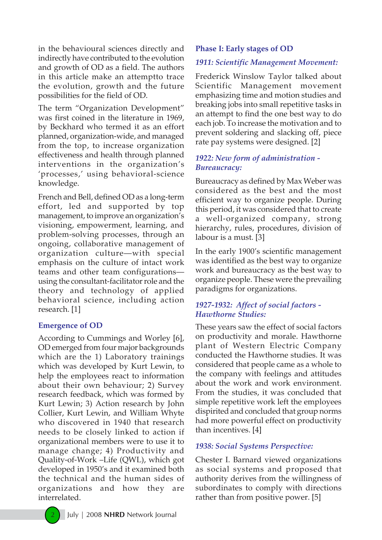in the behavioural sciences directly and indirectly have contributed to the evolution and growth of OD as a field. The authors in this article make an attemptto trace the evolution, growth and the future possibilities for the field of OD.

The term "Organization Development" was first coined in the literature in 1969, by Beckhard who termed it as an effort planned, organization-wide, and managed from the top, to increase organization effectiveness and health through planned interventions in the organization's 'processes,' using behavioral-science knowledge.

French and Bell, defined OD as a long-term effort, led and supported by top management, to improve an organization's visioning, empowerment, learning, and problem-solving processes, through an ongoing, collaborative management of organization culture—with special emphasis on the culture of intact work teams and other team configurations using the consultant-facilitator role and the theory and technology of applied behavioral science, including action research. [1]

## **Emergence of OD**

According to Cummings and Worley [6], OD emerged from four major backgrounds which are the 1) Laboratory trainings which was developed by Kurt Lewin, to help the employees react to information about their own behaviour; 2) Survey research feedback, which was formed by Kurt Lewin; 3) Action research by John Collier, Kurt Lewin, and William Whyte who discovered in 1940 that research needs to be closely linked to action if organizational members were to use it to manage change; 4) Productivity and Quality-of-Work –Life (QWL), which got developed in 1950's and it examined both the technical and the human sides of organizations and how they are interrelated.

## **Phase I: Early stages of OD**

#### *1911: Scientific Management Movement:*

Frederick Winslow Taylor talked about Scientific Management movement emphasizing time and motion studies and breaking jobs into small repetitive tasks in an attempt to find the one best way to do each job. To increase the motivation and to prevent soldering and slacking off, piece rate pay systems were designed. [2]

## *1922: New form of administration - Bureaucracy:*

Bureaucracy as defined by Max Weber was considered as the best and the most efficient way to organize people. During this period, it was considered that to create a well-organized company, strong hierarchy, rules, procedures, division of labour is a must. [3]

In the early 1900's scientific management was identified as the best way to organize work and bureaucracy as the best way to organize people. These were the prevailing paradigms for organizations.

## *1927-1932: Affect of social factors - Hawthorne Studies:*

These years saw the effect of social factors on productivity and morale. Hawthorne plant of Western Electric Company conducted the Hawthorne studies. It was considered that people came as a whole to the company with feelings and attitudes about the work and work environment. From the studies, it was concluded that simple repetitive work left the employees dispirited and concluded that group norms had more powerful effect on productivity than incentives. [4]

## *1938: Social Systems Perspective:*

Chester I. Barnard viewed organizations as social systems and proposed that authority derives from the willingness of subordinates to comply with directions rather than from positive power. [5]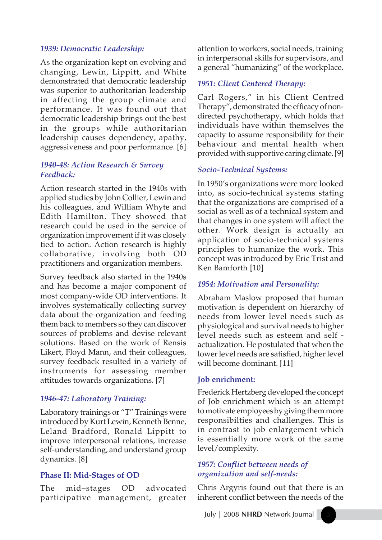#### *1939: Democratic Leadership:*

As the organization kept on evolving and changing, Lewin, Lippitt, and White demonstrated that democratic leadership was superior to authoritarian leadership in affecting the group climate and performance. It was found out that democratic leadership brings out the best in the groups while authoritarian leadership causes dependency, apathy, aggressiveness and poor performance. [6]

## *1940-48: Action Research & Survey Feedback:*

Action research started in the 1940s with applied studies by John Collier, Lewin and his colleagues, and William Whyte and Edith Hamilton. They showed that research could be used in the service of organization improvement if it was closely tied to action. Action research is highly collaborative, involving both OD practitioners and organization members.

Survey feedback also started in the 1940s and has become a major component of most company-wide OD interventions. It involves systematically collecting survey data about the organization and feeding them back to members so they can discover sources of problems and devise relevant solutions. Based on the work of Rensis Likert, Floyd Mann, and their colleagues, survey feedback resulted in a variety of instruments for assessing member attitudes towards organizations. [7]

## *1946-47: Laboratory Training:*

Laboratory trainings or "T" Trainings were introduced by Kurt Lewin, Kenneth Benne, Leland Bradford, Ronald Lippitt to improve interpersonal relations, increase self-understanding, and understand group dynamics. [8]

## **Phase II: Mid-Stages of OD**

The mid–stages OD advocated participative management, greater

attention to workers, social needs, training in interpersonal skills for supervisors, and a general "humanizing" of the workplace.

## *1951: Client Centered Therapy:*

Carl Rogers," in his Client Centred Therapy", demonstrated the efficacy of nondirected psychotherapy, which holds that individuals have within themselves the capacity to assume responsibility for their behaviour and mental health when provided with supportive caring climate. [9]

## *Socio-Technical Systems:*

In 1950's organizations were more looked into, as socio-technical systems stating that the organizations are comprised of a social as well as of a technical system and that changes in one system will affect the other. Work design is actually an application of socio-technical systems principles to humanize the work. This concept was introduced by Eric Trist and Ken Bamforth [10]

## *1954: Motivation and Personality:*

Abraham Maslow proposed that human motivation is dependent on hierarchy of needs from lower level needs such as physiological and survival needs to higher level needs such as esteem and self actualization. He postulated that when the lower level needs are satisfied, higher level will become dominant. [11]

## **Job enrichment:**

Frederick Hertzberg developed the concept of Job enrichment which is an attempt to motivate employees by giving them more responsibilties and challenges. This is in contrast to job enlargement which is essentially more work of the same level/complexity.

## *1957: Conflict between needs of organization and self-needs:*

Chris Argyris found out that there is an inherent conflict between the needs of the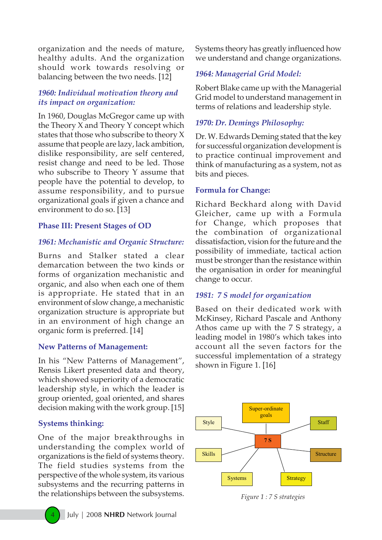organization and the needs of mature, healthy adults. And the organization should work towards resolving or balancing between the two needs. [12]

## *1960: Individual motivation theory and its impact on organization:*

In 1960, Douglas McGregor came up with the Theory X and Theory Y concept which states that those who subscribe to theory X assume that people are lazy, lack ambition, dislike responsibility, are self centered, resist change and need to be led. Those who subscribe to Theory Y assume that people have the potential to develop, to assume responsibility, and to pursue organizational goals if given a chance and environment to do so. [13]

## **Phase III: Present Stages of OD**

#### *1961: Mechanistic and Organic Structure:*

Burns and Stalker stated a clear demarcation between the two kinds or forms of organization mechanistic and organic, and also when each one of them is appropriate. He stated that in an environment of slow change, a mechanistic organization structure is appropriate but in an environment of high change an organic form is preferred. [14]

#### **New Patterns of Management:**

In his "New Patterns of Management", Rensis Likert presented data and theory, which showed superiority of a democratic leadership style, in which the leader is group oriented, goal oriented, and shares decision making with the work group. [15]

## **Systems thinking:**

One of the major breakthroughs in understanding the complex world of organizations is the field of systems theory. The field studies systems from the perspective of the whole system, its various subsystems and the recurring patterns in the relationships between the subsystems.

Systems theory has greatly influenced how we understand and change organizations.

## *1964: Managerial Grid Model:*

Robert Blake came up with the Managerial Grid model to understand management in terms of relations and leadership style.

## *1970: Dr. Demings Philosophy:*

Dr. W. Edwards Deming stated that the key for successful organization development is to practice continual improvement and think of manufacturing as a system, not as bits and pieces.

#### **Formula for Change:**

Richard Beckhard along with David Gleicher, came up with a Formula for Change, which proposes that the combination of organizational dissatisfaction, vision for the future and the possibility of immediate, tactical action must be stronger than the resistance within the organisation in order for meaningful change to occur.

## *1981: 7 S model for organization*

Based on their dedicated work with McKinsey, Richard Pascale and Anthony Athos came up with the 7 S strategy, a leading model in 1980's which takes into account all the seven factors for the successful implementation of a strategy shown in Figure 1. [16]



 *Figure 1 : 7 S strategies*

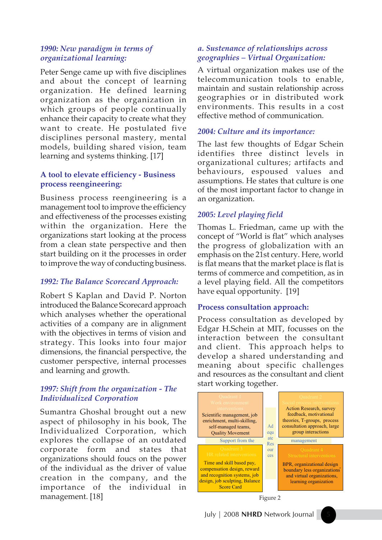## *1990: New paradigm in terms of organizational learning:*

Peter Senge came up with five disciplines and about the concept of learning organization. He defined learning organization as the organization in which groups of people continually enhance their capacity to create what they want to create. He postulated five disciplines personal mastery, mental models, building shared vision, team learning and systems thinking. [17]

## **A tool to elevate efficiency - Business process reengineering:**

Business process reengineering is a management tool to improve the efficiency and effectiveness of the processes existing within the organization. Here the organizations start looking at the process from a clean state perspective and then start building on it the processes in order to improve the way of conducting business.

## *1992: The Balance Scorecard Approach:*

Robert S Kaplan and David P. Norton introduced the Balance Scorecard approach which analyses whether the operational activities of a company are in alignment with the objectives in terms of vision and strategy. This looks into four major dimensions, the financial perspective, the customer perspective, internal processes and learning and growth.

## *1997: Shift from the organization - The Individualized Corporation*

Sumantra Ghoshal brought out a new aspect of philosophy in his book, The Individualized Corporation, which explores the collapse of an outdated corporate form and states that organizations should foucs on the power of the individual as the driver of value creation in the company, and the importance of the individual in management. [18]

## *a. Sustenance of relationships across geographies – Virtual Organization:*

A virtual organization makes use of the telecommunication tools to enable, maintain and sustain relationship across geographies or in distributed work environments. This results in a cost effective method of communication.

## *2004: Culture and its importance:*

The last few thoughts of Edgar Schein identifies three distinct levels in organizational cultures; artifacts and behaviours, espoused values and assumptions. He states that culture is one of the most important factor to change in an organization.

## *2005: Level playing field*

Thomas L. Friedman, came up with the concept of "World is flat" which analyses the progress of globalization with an emphasis on the 21st century. Here, world is flat means that the market place is flat is terms of commerce and competition, as in a level playing field. All the competitors have equal opportunity. [19]

## **Process consultation approach:**

Process consultation as developed by Edgar H.Schein at MIT, focusses on the interaction between the consultant and client. This approach helps to develop a shared understanding and meaning about specific challenges and resources as the consultant and client start working together.



Figure 2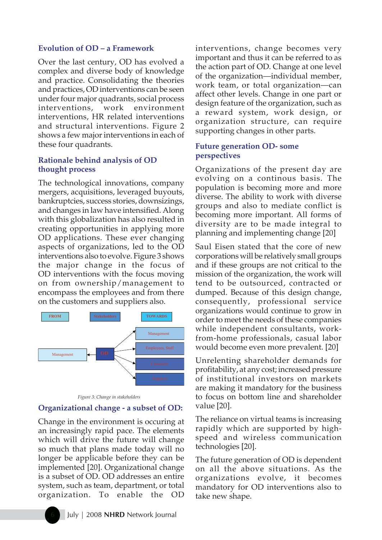#### **Evolution of OD – a Framework**

Over the last century, OD has evolved a complex and diverse body of knowledge and practice. Consolidating the theories and practices, OD interventions can be seen under four major quadrants, social process interventions, work environment interventions, HR related interventions and structural interventions. Figure 2 shows a few major interventions in each of these four quadrants.

#### **Rationale behind analysis of OD thought process**

The technological innovations, company mergers, acquisitions, leveraged buyouts, bankruptcies, success stories, downsizings, and changes in law have intensified. Along with this globalization has also resulted in creating opportunities in applying more OD applications. These ever changing aspects of organizations, led to the OD interventions also to evolve. Figure 3 shows the major change in the focus of OD interventions with the focus moving on from ownership/management to encompass the employees and from there on the customers and suppliers also.



*Figure 3: Change in stakeholders*

#### **Organizational change - a subset of OD:**

Change in the environment is occuring at an increasingly rapid pace. The elements which will drive the future will change so much that plans made today will no longer be applicable before they can be implemented [20]. Organizational change is a subset of OD. OD addresses an entire system, such as team, department, or total organization. To enable the OD interventions, change becomes very important and thus it can be referred to as the action part of OD. Change at one level of the organization—individual member, work team, or total organization—can affect other levels. Change in one part or design feature of the organization, such as a reward system, work design, or organization structure, can require supporting changes in other parts.

#### **Future generation OD- some perspectives**

Organizations of the present day are evolving on a continous basis. The population is becoming more and more diverse. The ability to work with diverse groups and also to mediate conflict is becoming more important. All forms of diversity are to be made integral to planning and implementing change [20]

Saul Eisen stated that the core of new corporations will be relatively small groups and if these groups are not critical to the mission of the organization, the work will tend to be outsourced, contracted or dumped. Because of this design change, consequently, professional service organizations would continue to grow in order to meet the needs of these companies while independent consultants, workfrom-home professionals, casual labor would become even more prevalent. [20]

Unrelenting shareholder demands for profitability, at any cost; increased pressure of institutional investors on markets are making it mandatory for the business to focus on bottom line and shareholder value [20].

The reliance on virtual teams is increasing rapidly which are supported by highspeed and wireless communication technologies [20].

The future generation of OD is dependent on all the above situations. As the organizations evolve, it becomes mandatory for OD interventions also to take new shape.